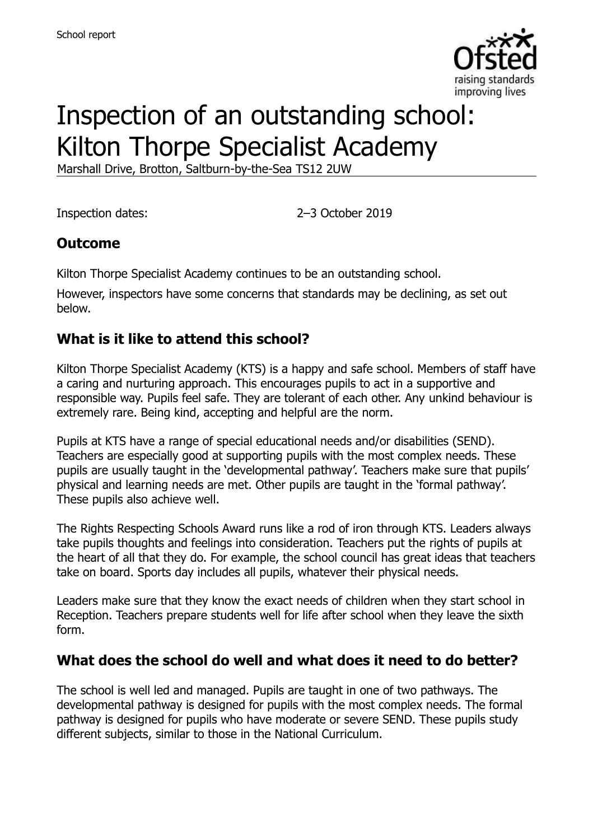

# Inspection of an outstanding school: Kilton Thorpe Specialist Academy

Marshall Drive, Brotton, Saltburn-by-the-Sea TS12 2UW

Inspection dates: 2–3 October 2019

### **Outcome**

Kilton Thorpe Specialist Academy continues to be an outstanding school.

However, inspectors have some concerns that standards may be declining, as set out below.

### **What is it like to attend this school?**

Kilton Thorpe Specialist Academy (KTS) is a happy and safe school. Members of staff have a caring and nurturing approach. This encourages pupils to act in a supportive and responsible way. Pupils feel safe. They are tolerant of each other. Any unkind behaviour is extremely rare. Being kind, accepting and helpful are the norm.

Pupils at KTS have a range of special educational needs and/or disabilities (SEND). Teachers are especially good at supporting pupils with the most complex needs. These pupils are usually taught in the 'developmental pathway'. Teachers make sure that pupils' physical and learning needs are met. Other pupils are taught in the 'formal pathway'. These pupils also achieve well.

The Rights Respecting Schools Award runs like a rod of iron through KTS. Leaders always take pupils thoughts and feelings into consideration. Teachers put the rights of pupils at the heart of all that they do. For example, the school council has great ideas that teachers take on board. Sports day includes all pupils, whatever their physical needs.

Leaders make sure that they know the exact needs of children when they start school in Reception. Teachers prepare students well for life after school when they leave the sixth form.

### **What does the school do well and what does it need to do better?**

The school is well led and managed. Pupils are taught in one of two pathways. The developmental pathway is designed for pupils with the most complex needs. The formal pathway is designed for pupils who have moderate or severe SEND. These pupils study different subjects, similar to those in the National Curriculum.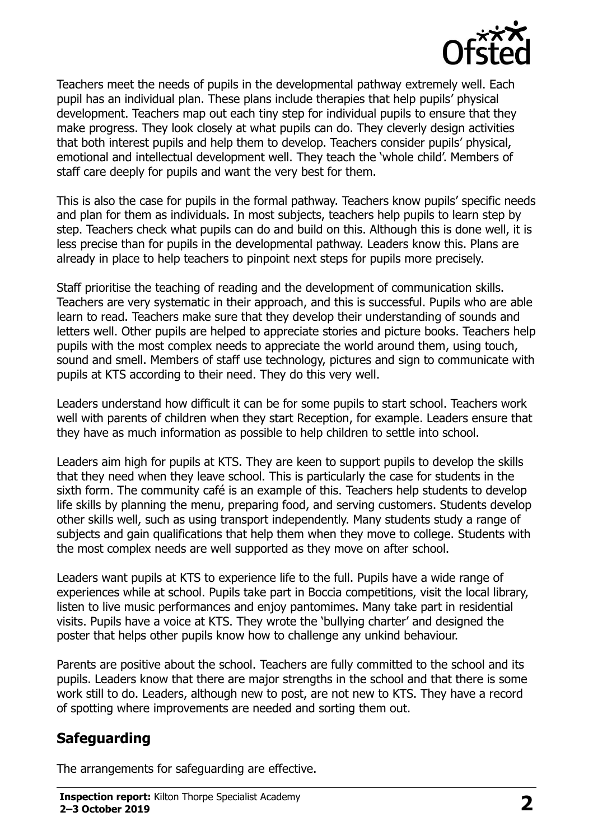

Teachers meet the needs of pupils in the developmental pathway extremely well. Each pupil has an individual plan. These plans include therapies that help pupils' physical development. Teachers map out each tiny step for individual pupils to ensure that they make progress. They look closely at what pupils can do. They cleverly design activities that both interest pupils and help them to develop. Teachers consider pupils' physical, emotional and intellectual development well. They teach the 'whole child'. Members of staff care deeply for pupils and want the very best for them.

This is also the case for pupils in the formal pathway. Teachers know pupils' specific needs and plan for them as individuals. In most subjects, teachers help pupils to learn step by step. Teachers check what pupils can do and build on this. Although this is done well, it is less precise than for pupils in the developmental pathway. Leaders know this. Plans are already in place to help teachers to pinpoint next steps for pupils more precisely.

Staff prioritise the teaching of reading and the development of communication skills. Teachers are very systematic in their approach, and this is successful. Pupils who are able learn to read. Teachers make sure that they develop their understanding of sounds and letters well. Other pupils are helped to appreciate stories and picture books. Teachers help pupils with the most complex needs to appreciate the world around them, using touch, sound and smell. Members of staff use technology, pictures and sign to communicate with pupils at KTS according to their need. They do this very well.

Leaders understand how difficult it can be for some pupils to start school. Teachers work well with parents of children when they start Reception, for example. Leaders ensure that they have as much information as possible to help children to settle into school.

Leaders aim high for pupils at KTS. They are keen to support pupils to develop the skills that they need when they leave school. This is particularly the case for students in the sixth form. The community café is an example of this. Teachers help students to develop life skills by planning the menu, preparing food, and serving customers. Students develop other skills well, such as using transport independently. Many students study a range of subjects and gain qualifications that help them when they move to college. Students with the most complex needs are well supported as they move on after school.

Leaders want pupils at KTS to experience life to the full. Pupils have a wide range of experiences while at school. Pupils take part in Boccia competitions, visit the local library, listen to live music performances and enjoy pantomimes. Many take part in residential visits. Pupils have a voice at KTS. They wrote the 'bullying charter' and designed the poster that helps other pupils know how to challenge any unkind behaviour.

Parents are positive about the school. Teachers are fully committed to the school and its pupils. Leaders know that there are major strengths in the school and that there is some work still to do. Leaders, although new to post, are not new to KTS. They have a record of spotting where improvements are needed and sorting them out.

# **Safeguarding**

The arrangements for safeguarding are effective.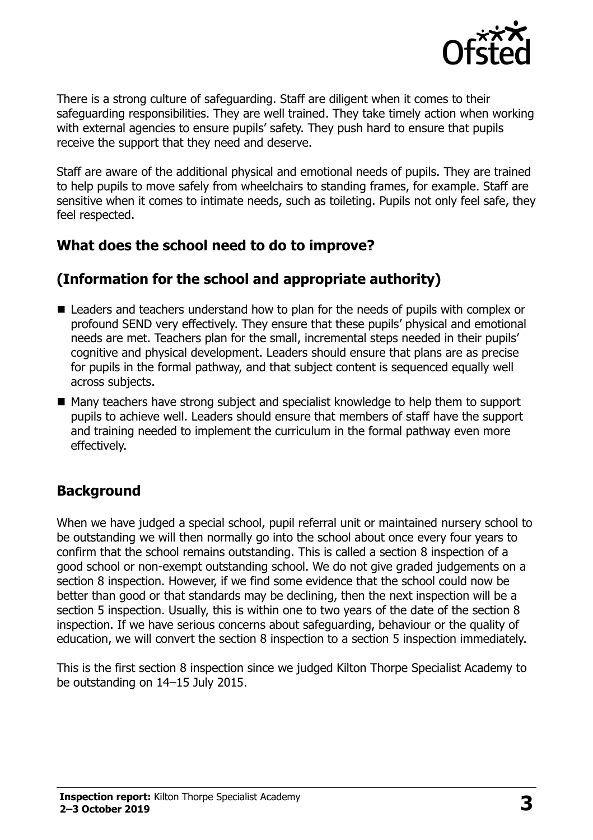

There is a strong culture of safeguarding. Staff are diligent when it comes to their safeguarding responsibilities. They are well trained. They take timely action when working with external agencies to ensure pupils' safety. They push hard to ensure that pupils receive the support that they need and deserve.

Staff are aware of the additional physical and emotional needs of pupils. They are trained to help pupils to move safely from wheelchairs to standing frames, for example. Staff are sensitive when it comes to intimate needs, such as toileting. Pupils not only feel safe, they feel respected.

### **What does the school need to do to improve?**

# **(Information for the school and appropriate authority)**

- Leaders and teachers understand how to plan for the needs of pupils with complex or profound SEND very effectively. They ensure that these pupils' physical and emotional needs are met. Teachers plan for the small, incremental steps needed in their pupils' cognitive and physical development. Leaders should ensure that plans are as precise for pupils in the formal pathway, and that subject content is sequenced equally well across subjects.
- Many teachers have strong subject and specialist knowledge to help them to support pupils to achieve well. Leaders should ensure that members of staff have the support and training needed to implement the curriculum in the formal pathway even more effectively.

### **Background**

When we have judged a special school, pupil referral unit or maintained nursery school to be outstanding we will then normally go into the school about once every four years to confirm that the school remains outstanding. This is called a section 8 inspection of a good school or non-exempt outstanding school. We do not give graded judgements on a section 8 inspection. However, if we find some evidence that the school could now be better than good or that standards may be declining, then the next inspection will be a section 5 inspection. Usually, this is within one to two years of the date of the section 8 inspection. If we have serious concerns about safeguarding, behaviour or the quality of education, we will convert the section 8 inspection to a section 5 inspection immediately.

This is the first section 8 inspection since we judged Kilton Thorpe Specialist Academy to be outstanding on 14–15 July 2015.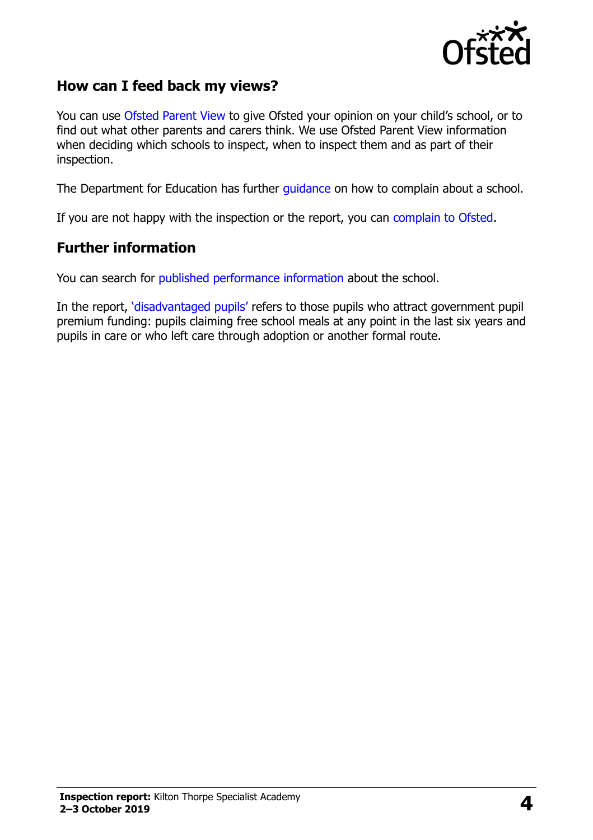

### **How can I feed back my views?**

You can use [Ofsted Parent View](https://parentview.ofsted.gov.uk/) to give Ofsted your opinion on your child's school, or to find out what other parents and carers think. We use Ofsted Parent View information when deciding which schools to inspect, when to inspect them and as part of their inspection.

The Department for Education has further [guidance](http://www.gov.uk/complain-about-school) on how to complain about a school.

If you are not happy with the inspection or the report, you can [complain to Ofsted.](https://www.gov.uk/complain-ofsted-report)

#### **Further information**

You can search for [published performance information](http://www.compare-school-performance.service.gov.uk/) about the school.

In the report, '[disadvantaged pupils](http://www.gov.uk/guidance/pupil-premium-information-for-schools-and-alternative-provision-settings)' refers to those pupils who attract government pupil premium funding: pupils claiming free school meals at any point in the last six years and pupils in care or who left care through adoption or another formal route.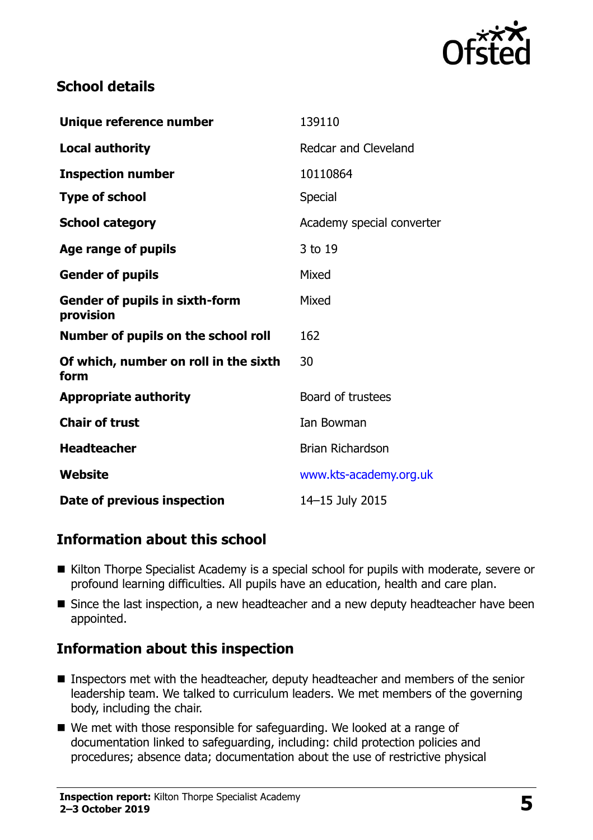

# **School details**

| Unique reference number                            | 139110                    |
|----------------------------------------------------|---------------------------|
| <b>Local authority</b>                             | Redcar and Cleveland      |
| <b>Inspection number</b>                           | 10110864                  |
| <b>Type of school</b>                              | <b>Special</b>            |
| <b>School category</b>                             | Academy special converter |
| Age range of pupils                                | 3 to 19                   |
| <b>Gender of pupils</b>                            | Mixed                     |
| <b>Gender of pupils in sixth-form</b><br>provision | Mixed                     |
| Number of pupils on the school roll                | 162                       |
| Of which, number on roll in the sixth<br>form      | 30                        |
| <b>Appropriate authority</b>                       | Board of trustees         |
| <b>Chair of trust</b>                              | <b>Ian Bowman</b>         |
| <b>Headteacher</b>                                 | <b>Brian Richardson</b>   |
| Website                                            | www.kts-academy.org.uk    |
| Date of previous inspection                        | 14-15 July 2015           |

# **Information about this school**

- Kilton Thorpe Specialist Academy is a special school for pupils with moderate, severe or profound learning difficulties. All pupils have an education, health and care plan.
- Since the last inspection, a new headteacher and a new deputy headteacher have been appointed.

# **Information about this inspection**

- Inspectors met with the headteacher, deputy headteacher and members of the senior leadership team. We talked to curriculum leaders. We met members of the governing body, including the chair.
- We met with those responsible for safeguarding. We looked at a range of documentation linked to safeguarding, including: child protection policies and procedures; absence data; documentation about the use of restrictive physical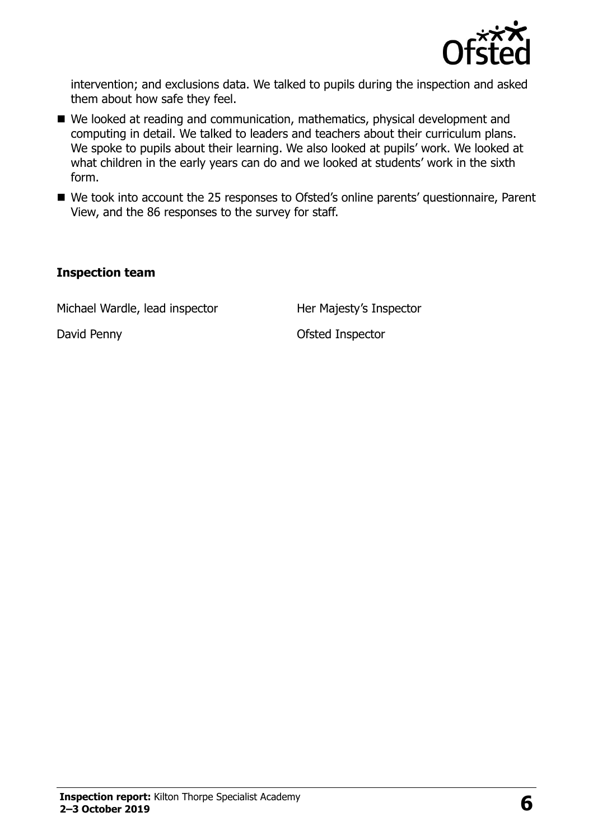

intervention; and exclusions data. We talked to pupils during the inspection and asked them about how safe they feel.

- We looked at reading and communication, mathematics, physical development and computing in detail. We talked to leaders and teachers about their curriculum plans. We spoke to pupils about their learning. We also looked at pupils' work. We looked at what children in the early years can do and we looked at students' work in the sixth form.
- We took into account the 25 responses to Ofsted's online parents' questionnaire, Parent View, and the 86 responses to the survey for staff.

#### **Inspection team**

Michael Wardle, lead inspector Her Majesty's Inspector

David Penny **David Penny Ofsted Inspector**